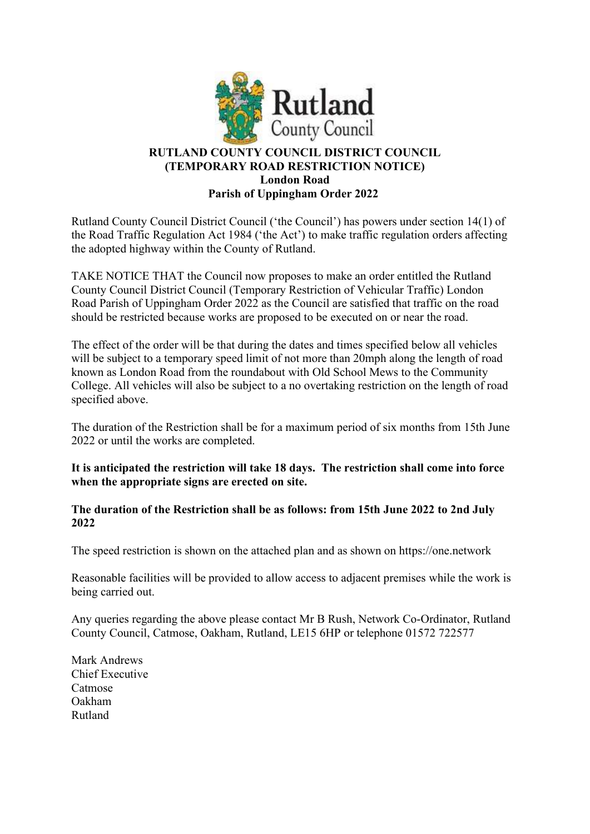

## RUTLAND COUNTY COUNCIL DISTRICT COUNCIL (TEMPORARY ROAD RESTRICTION NOTICE) London Road Parish of Uppingham Order 2022

Rutland County Council District Council ('the Council') has powers under section 14(1) of the Road Traffic Regulation Act 1984 ('the Act') to make traffic regulation orders affecting the adopted highway within the County of Rutland.

TAKE NOTICE THAT the Council now proposes to make an order entitled the Rutland County Council District Council (Temporary Restriction of Vehicular Traffic) London Road Parish of Uppingham Order 2022 as the Council are satisfied that traffic on the road should be restricted because works are proposed to be executed on or near the road.

The effect of the order will be that during the dates and times specified below all vehicles will be subject to a temporary speed limit of not more than 20mph along the length of road known as London Road from the roundabout with Old School Mews to the Community College. All vehicles will also be subject to a no overtaking restriction on the length of road specified above.

The duration of the Restriction shall be for a maximum period of six months from 15th June 2022 or until the works are completed.

It is anticipated the restriction will take 18 days. The restriction shall come into force when the appropriate signs are erected on site.

The duration of the Restriction shall be as follows: from 15th June 2022 to 2nd July 2022

The speed restriction is shown on the attached plan and as shown on https://one.network

Reasonable facilities will be provided to allow access to adjacent premises while the work is being carried out.

Any queries regarding the above please contact Mr B Rush, Network Co-Ordinator, Rutland County Council, Catmose, Oakham, Rutland, LE15 6HP or telephone 01572 722577

Mark Andrews Chief Executive Catmose Oakham Rutland